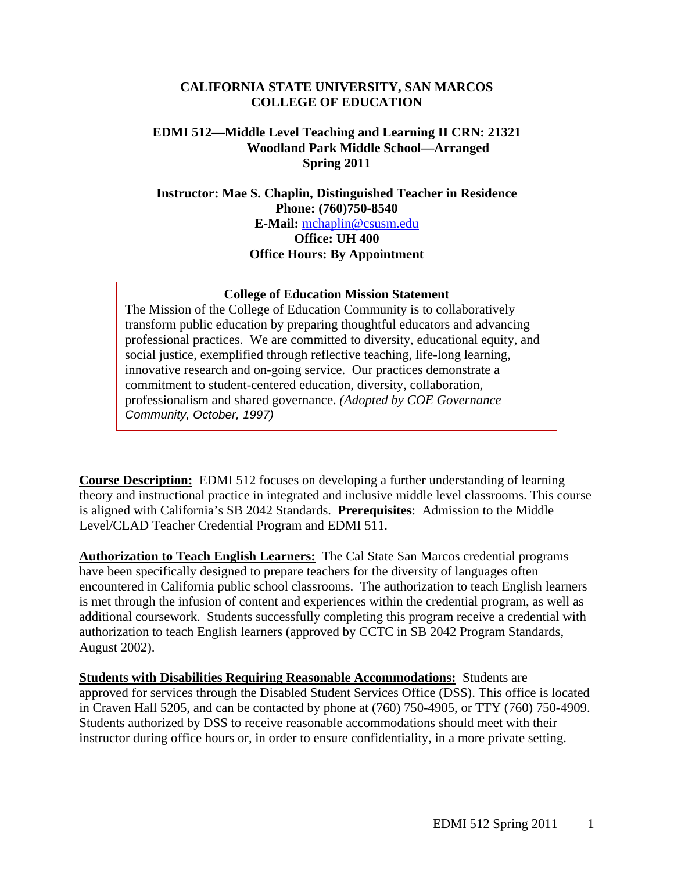### **CALIFORNIA STATE UNIVERSITY, SAN MARCOS COLLEGE OF EDUCATION**

## **EDMI 512—Middle Level Teaching and Learning II CRN: 21321 Woodland Park Middle School—Arranged Spring 2011**

**Instructor: Mae S. Chaplin, Distinguished Teacher in Residence Phone: (760)750-8540 E-Mail:** mchaplin@csusm.edu **Office: UH 400 Office Hours: By Appointment** 

### **College of Education Mission Statement**

The Mission of the College of Education Community is to collaboratively transform public education by preparing thoughtful educators and advancing professional practices. We are committed to diversity, educational equity, and social justice, exemplified through reflective teaching, life-long learning, innovative research and on-going service. Our practices demonstrate a commitment to student-centered education, diversity, collaboration, professionalism and shared governance. *(Adopted by COE Governance Community, October, 1997)* 

**Course Description:** EDMI 512 focuses on developing a further understanding of learning theory and instructional practice in integrated and inclusive middle level classrooms. This course is aligned with California's SB 2042 Standards. **Prerequisites**: Admission to the Middle Level/CLAD Teacher Credential Program and EDMI 511.

 **Authorization to Teach English Learners:** The Cal State San Marcos credential programs have been specifically designed to prepare teachers for the diversity of languages often encountered in California public school classrooms. The authorization to teach English learners is met through the infusion of content and experiences within the credential program, as well as additional coursework. Students successfully completing this program receive a credential with authorization to teach English learners (approved by CCTC in SB 2042 Program Standards, August 2002).

**Students with Disabilities Requiring Reasonable Accommodations:** Students are approved for services through the Disabled Student Services Office (DSS). This office is located in Craven Hall 5205, and can be contacted by phone at (760) 750-4905, or TTY (760) 750-4909. Students authorized by DSS to receive reasonable accommodations should meet with their instructor during office hours or, in order to ensure confidentiality, in a more private setting.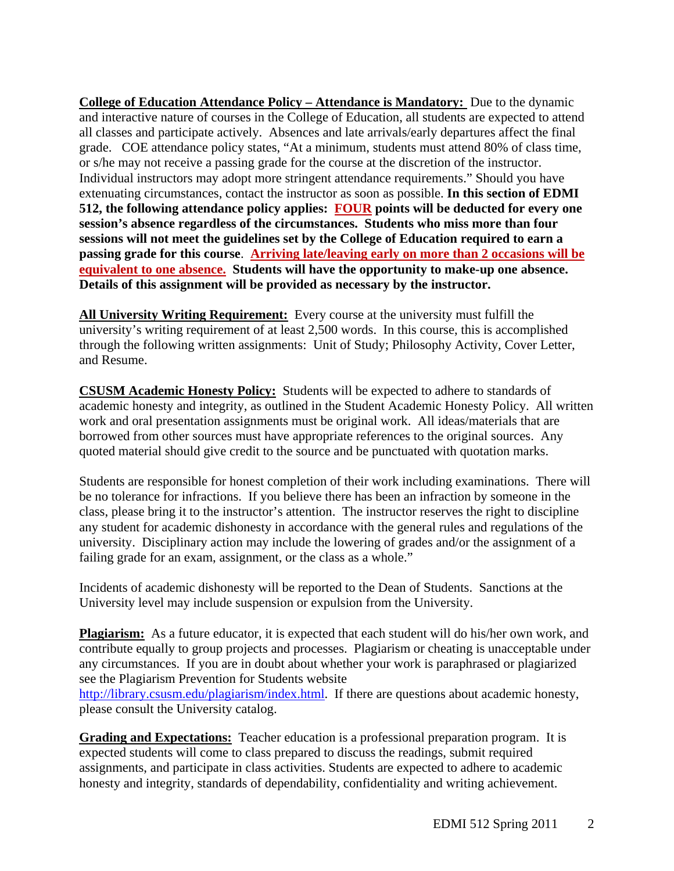Details of this assignment will be provided as necessary by the instructor. **College of Education Attendance Policy – Attendance is Mandatory:** Due to the dynamic and interactive nature of courses in the College of Education, all students are expected to attend all classes and participate actively. Absences and late arrivals/early departures affect the final grade. COE attendance policy states, "At a minimum, students must attend 80% of class time, or s/he may not receive a passing grade for the course at the discretion of the instructor. Individual instructors may adopt more stringent attendance requirements." Should you have extenuating circumstances, contact the instructor as soon as possible. **In this section of EDMI 512, the following attendance policy applies: FOUR points will be deducted for every one session's absence regardless of the circumstances. Students who miss more than four sessions will not meet the guidelines set by the College of Education required to earn a passing grade for this course**. **Arriving late/leaving early on more than 2 occasions will be equivalent to one absence. Students will have the opportunity to make-up one absence.** 

 **Details of this assignment will be provided as necessary by the instructor. All University Writing Requirement:** Every course at the university must fulfill the university's writing requirement of at least 2,500 words. In this course, this is accomplished through the following written assignments: Unit of Study; Philosophy Activity, Cover Letter, and Resume.

**CSUSM Academic Honesty Policy:** Students will be expected to adhere to standards of academic honesty and integrity, as outlined in the Student Academic Honesty Policy. All written work and oral presentation assignments must be original work. All ideas/materials that are borrowed from other sources must have appropriate references to the original sources. Any quoted material should give credit to the source and be punctuated with quotation marks.

Students are responsible for honest completion of their work including examinations. There will be no tolerance for infractions. If you believe there has been an infraction by someone in the class, please bring it to the instructor's attention. The instructor reserves the right to discipline any student for academic dishonesty in accordance with the general rules and regulations of the university. Disciplinary action may include the lowering of grades and/or the assignment of a failing grade for an exam, assignment, or the class as a whole."

Incidents of academic dishonesty will be reported to the Dean of Students. Sanctions at the University level may include suspension or expulsion from the University.

Plagiarism: As a future educator, it is expected that each student will do his/her own work, and contribute equally to group projects and processes. Plagiarism or cheating is unacceptable under any circumstances. If you are in doubt about whether your work is paraphrased or plagiarized see the Plagiarism Prevention for Students website

http://library.csusm.edu/plagiarism/index.html. If there are questions about academic honesty, please consult the University catalog.

**Grading and Expectations:** Teacher education is a professional preparation program. It is expected students will come to class prepared to discuss the readings, submit required assignments, and participate in class activities. Students are expected to adhere to academic honesty and integrity, standards of dependability, confidentiality and writing achievement.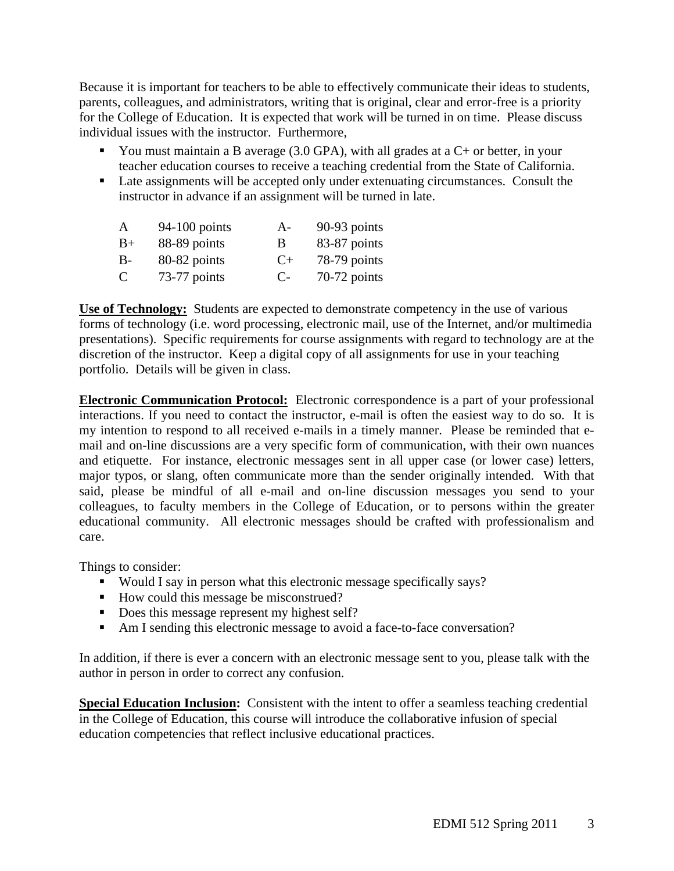Because it is important for teachers to be able to effectively communicate their ideas to students, parents, colleagues, and administrators, writing that is original, clear and error-free is a priority for the College of Education. It is expected that work will be turned in on time. Please discuss individual issues with the instructor. Furthermore,

- You must maintain a B average  $(3.0 \text{ GPA})$ , with all grades at a C+ or better, in your teacher education courses to receive a teaching credential from the State of California.
- Late assignments will be accepted only under extenuating circumstances. Consult the instructor in advance if an assignment will be turned in late.

| A        | $94-100$ points | $A-$ | 90-93 points   |
|----------|-----------------|------|----------------|
| $B+$     | 88-89 points    | В    | 83-87 points   |
| $B-$     | 80-82 points    | $C+$ | 78-79 points   |
| $\Gamma$ | 73-77 points    | $C-$ | $70-72$ points |

**Use of Technology:** Students are expected to demonstrate competency in the use of various forms of technology (i.e. word processing, electronic mail, use of the Internet, and/or multimedia presentations). Specific requirements for course assignments with regard to technology are at the discretion of the instructor. Keep a digital copy of all assignments for use in your teaching portfolio. Details will be given in class.

**Electronic Communication Protocol:** Electronic correspondence is a part of your professional interactions. If you need to contact the instructor, e-mail is often the easiest way to do so. It is my intention to respond to all received e-mails in a timely manner. Please be reminded that email and on-line discussions are a very specific form of communication, with their own nuances and etiquette. For instance, electronic messages sent in all upper case (or lower case) letters, major typos, or slang, often communicate more than the sender originally intended. With that said, please be mindful of all e-mail and on-line discussion messages you send to your colleagues, to faculty members in the College of Education, or to persons within the greater educational community. All electronic messages should be crafted with professionalism and care.

Things to consider:

- Would I say in person what this electronic message specifically says?
- How could this message be misconstrued?
- Does this message represent my highest self?
- Am I sending this electronic message to avoid a face-to-face conversation?

In addition, if there is ever a concern with an electronic message sent to you, please talk with the author in person in order to correct any confusion.

**Special Education Inclusion:** Consistent with the intent to offer a seamless teaching credential in the College of Education, this course will introduce the collaborative infusion of special education competencies that reflect inclusive educational practices.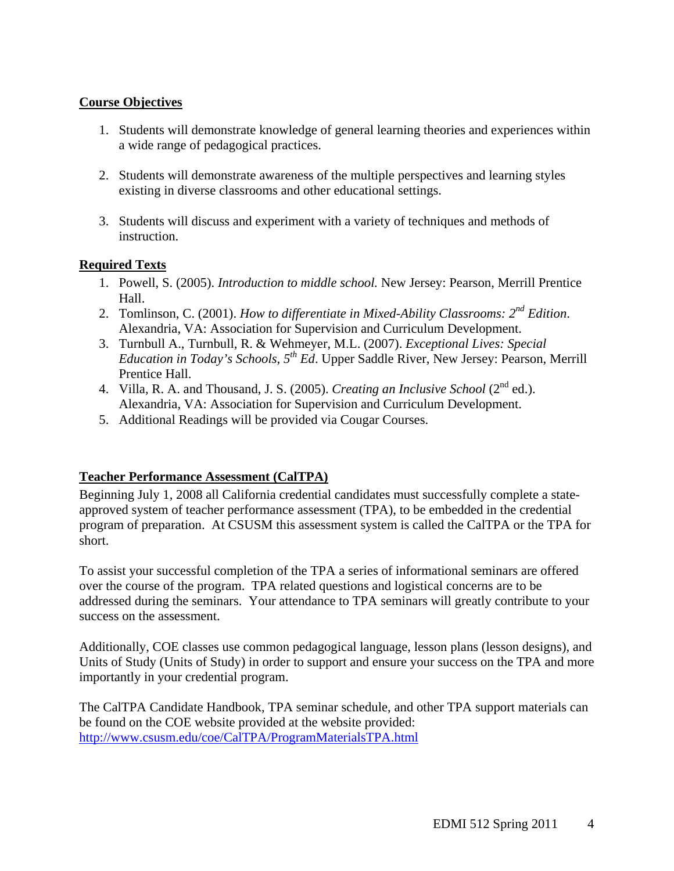## **Course Objectives**

- 1. Students will demonstrate knowledge of general learning theories and experiences within a wide range of pedagogical practices.
- 2. Students will demonstrate awareness of the multiple perspectives and learning styles existing in diverse classrooms and other educational settings.
- 3. Students will discuss and experiment with a variety of techniques and methods of instruction.

## **Required Texts**

- 1. Powell, S. (2005). *Introduction to middle school*. New Jersey: Pearson, Merrill Prentice Hall.
- 2. Tomlinson, C. (2001). *How to differentiate in Mixed-Ability Classrooms: 2nd Edition*. Alexandria, VA: Association for Supervision and Curriculum Development.
- 3. Turnbull A., Turnbull, R. & Wehmeyer, M.L. (2007). *Exceptional Lives: Special Education in Today's Schools, 5th Ed*. Upper Saddle River, New Jersey: Pearson, Merrill Prentice Hall.
- 4. Villa, R. A. and Thousand, J. S. (2005). *Creating an Inclusive School* ( $2<sup>nd</sup>$  ed.). Alexandria, VA: Association for Supervision and Curriculum Development.
- 5. Additional Readings will be provided via Cougar Courses.

## **Teacher Performance Assessment (CalTPA)**

Beginning July 1, 2008 all California credential candidates must successfully complete a stateapproved system of teacher performance assessment (TPA), to be embedded in the credential program of preparation. At CSUSM this assessment system is called the CalTPA or the TPA for short.

To assist your successful completion of the TPA a series of informational seminars are offered over the course of the program. TPA related questions and logistical concerns are to be addressed during the seminars. Your attendance to TPA seminars will greatly contribute to your success on the assessment.

Additionally, COE classes use common pedagogical language, lesson plans (lesson designs), and Units of Study (Units of Study) in order to support and ensure your success on the TPA and more importantly in your credential program.

The CalTPA Candidate Handbook, TPA seminar schedule, and other TPA support materials can be found on the COE website provided at the website provided: http://www.csusm.edu/coe/CalTPA/ProgramMaterialsTPA.html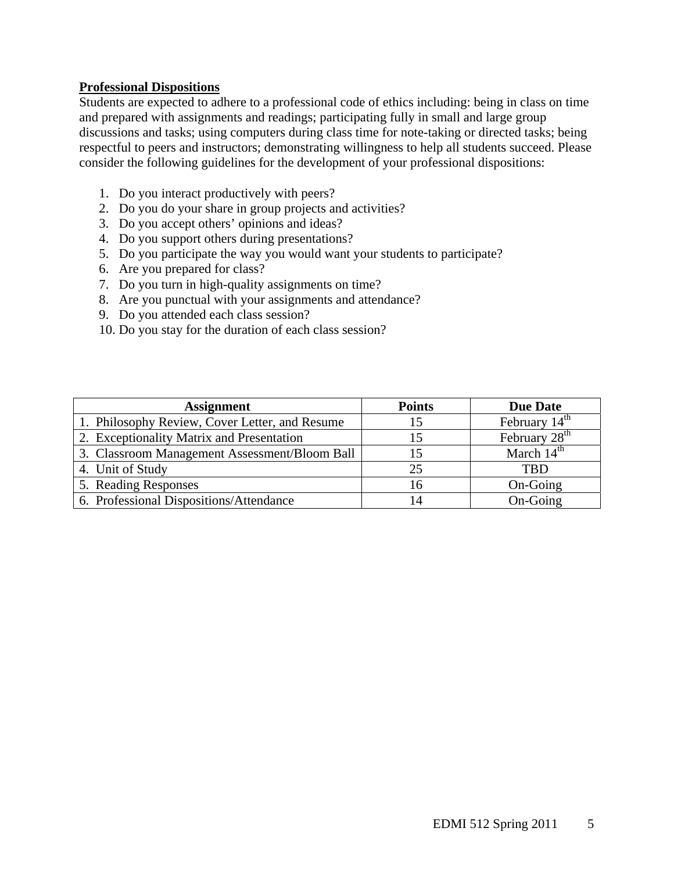### **Professional Dispositions**

Students are expected to adhere to a professional code of ethics including: being in class on time and prepared with assignments and readings; participating fully in small and large group discussions and tasks; using computers during class time for note-taking or directed tasks; being respectful to peers and instructors; demonstrating willingness to help all students succeed. Please consider the following guidelines for the development of your professional dispositions:

- 1. Do you interact productively with peers?
- 2. Do you do your share in group projects and activities?
- 3. Do you accept others' opinions and ideas?
- 4. Do you support others during presentations?
- 5. Do you participate the way you would want your students to participate?
- 6. Are you prepared for class?
- 7. Do you turn in high-quality assignments on time?
- 8. Are you punctual with your assignments and attendance?
- 9. Do you attended each class session?
- 10. Do you stay for the duration of each class session?

| <b>Assignment</b>                              | <b>Points</b> | <b>Due Date</b>           |
|------------------------------------------------|---------------|---------------------------|
| 1. Philosophy Review, Cover Letter, and Resume |               | February $14th$           |
| 2. Exceptionality Matrix and Presentation      | 15            | February 28 <sup>th</sup> |
| 3. Classroom Management Assessment/Bloom Ball  |               | March $14th$              |
| 4. Unit of Study                               | 25            | TBD                       |
| 5. Reading Responses                           | 16            | On-Going                  |
| 6. Professional Dispositions/Attendance        |               | On-Going                  |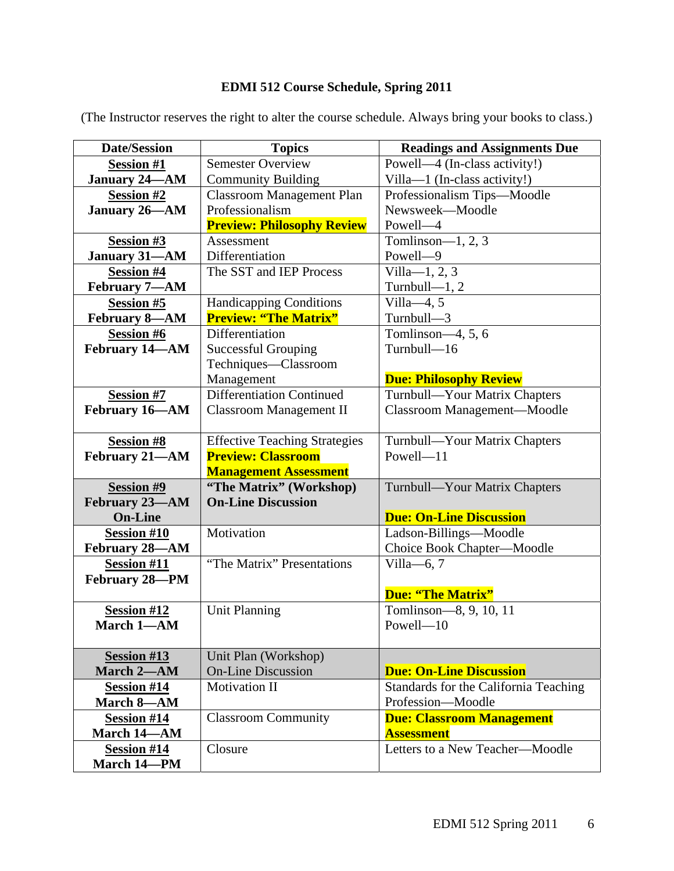# **EDMI 512 Course Schedule, Spring 2011**

| <b>Date/Session</b>  | <b>Topics</b>                        | <b>Readings and Assignments Due</b>   |
|----------------------|--------------------------------------|---------------------------------------|
| <b>Session #1</b>    | <b>Semester Overview</b>             | Powell—4 (In-class activity!)         |
| <b>January 24-AM</b> | <b>Community Building</b>            | Villa-1 (In-class activity!)          |
| <b>Session #2</b>    | <b>Classroom Management Plan</b>     | Professionalism Tips-Moodle           |
| January 26-AM        | Professionalism                      | Newsweek-Moodle                       |
|                      | <b>Preview: Philosophy Review</b>    | Powell-4                              |
| Session #3           | Assessment                           | Tomlinson— $1, 2, 3$                  |
| <b>January 31-AM</b> | Differentiation                      | Powell-9                              |
| <b>Session #4</b>    | The SST and IEP Process              | $Villa-1, 2, 3$                       |
| February 7-AM        |                                      | Turnbull- $-1, 2$                     |
| <b>Session #5</b>    | <b>Handicapping Conditions</b>       | Villa $-4, 5$                         |
| <b>February 8-AM</b> | <b>Preview: "The Matrix"</b>         | Turnbull-3                            |
| <b>Session #6</b>    | Differentiation                      | Tomlinson-4, 5, 6                     |
| February 14-AM       | <b>Successful Grouping</b>           | Turnbull-16                           |
|                      | Techniques-Classroom                 |                                       |
|                      | Management                           | <b>Due: Philosophy Review</b>         |
| <b>Session #7</b>    | Differentiation Continued            | Turnbull-Your Matrix Chapters         |
| February 16-AM       | <b>Classroom Management II</b>       | Classroom Management-Moodle           |
|                      |                                      |                                       |
| <b>Session #8</b>    | <b>Effective Teaching Strategies</b> | Turnbull-Your Matrix Chapters         |
| February 21-AM       | <b>Preview: Classroom</b>            | $Powell-11$                           |
|                      | <b>Management Assessment</b>         |                                       |
| <b>Session #9</b>    | "The Matrix" (Workshop)              | Turnbull-Your Matrix Chapters         |
| February 23-AM       | <b>On-Line Discussion</b>            |                                       |
| <b>On-Line</b>       |                                      | <b>Due: On-Line Discussion</b>        |
| <b>Session #10</b>   | Motivation                           | Ladson-Billings-Moodle                |
| February 28-AM       |                                      | Choice Book Chapter-Moodle            |
| <b>Session #11</b>   | "The Matrix" Presentations           | Villa-6, $7$                          |
| February 28-PM       |                                      |                                       |
|                      |                                      | <b>Due: "The Matrix"</b>              |
| <b>Session #12</b>   | <b>Unit Planning</b>                 | Tomlinson-8, 9, 10, 11                |
| March 1-AM           |                                      | Powell-10                             |
|                      |                                      |                                       |
| <b>Session #13</b>   | Unit Plan (Workshop)                 |                                       |
| March 2-AM           | <b>On-Line Discussion</b>            | <b>Due: On-Line Discussion</b>        |
| <b>Session #14</b>   | <b>Motivation II</b>                 | Standards for the California Teaching |
| March 8-AM           |                                      | Profession-Moodle                     |
| <b>Session #14</b>   | <b>Classroom Community</b>           | <b>Due: Classroom Management</b>      |
| March 14-AM          |                                      | <b>Assessment</b>                     |
| <b>Session #14</b>   | Closure                              | Letters to a New Teacher-Moodle       |
| March 14-PM          |                                      |                                       |

(The Instructor reserves the right to alter the course schedule. Always bring your books to class.)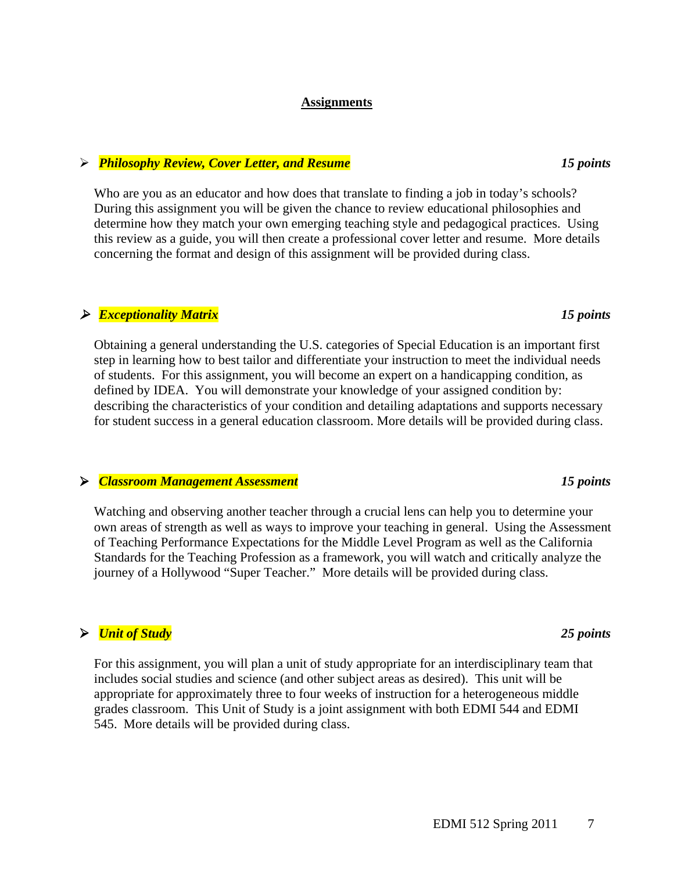### **Assignments**

### *Philosophy Review, Cover Letter, and Resume 15 points*

 Who are you as an educator and how does that translate to finding a job in today's schools? During this assignment you will be given the chance to review educational philosophies and determine how they match your own emerging teaching style and pedagogical practices. Using this review as a guide, you will then create a professional cover letter and resume. More details concerning the format and design of this assignment will be provided during class.

## *Exceptionality Matrix 15 points*

Obtaining a general understanding the U.S. categories of Special Education is an important first step in learning how to best tailor and differentiate your instruction to meet the individual needs of students. For this assignment, you will become an expert on a handicapping condition, as defined by IDEA. You will demonstrate your knowledge of your assigned condition by: describing the characteristics of your condition and detailing adaptations and supports necessary for student success in a general education classroom. More details will be provided during class.

## *Classroom Management Assessment 15 points*

Watching and observing another teacher through a crucial lens can help you to determine your own areas of strength as well as ways to improve your teaching in general. Using the Assessment of Teaching Performance Expectations for the Middle Level Program as well as the California Standards for the Teaching Profession as a framework, you will watch and critically analyze the journey of a Hollywood "Super Teacher." More details will be provided during class.

## *Unit of Study 25 points*

For this assignment, you will plan a unit of study appropriate for an interdisciplinary team that includes social studies and science (and other subject areas as desired). This unit will be appropriate for approximately three to four weeks of instruction for a heterogeneous middle grades classroom. This Unit of Study is a joint assignment with both EDMI 544 and EDMI 545. More details will be provided during class.